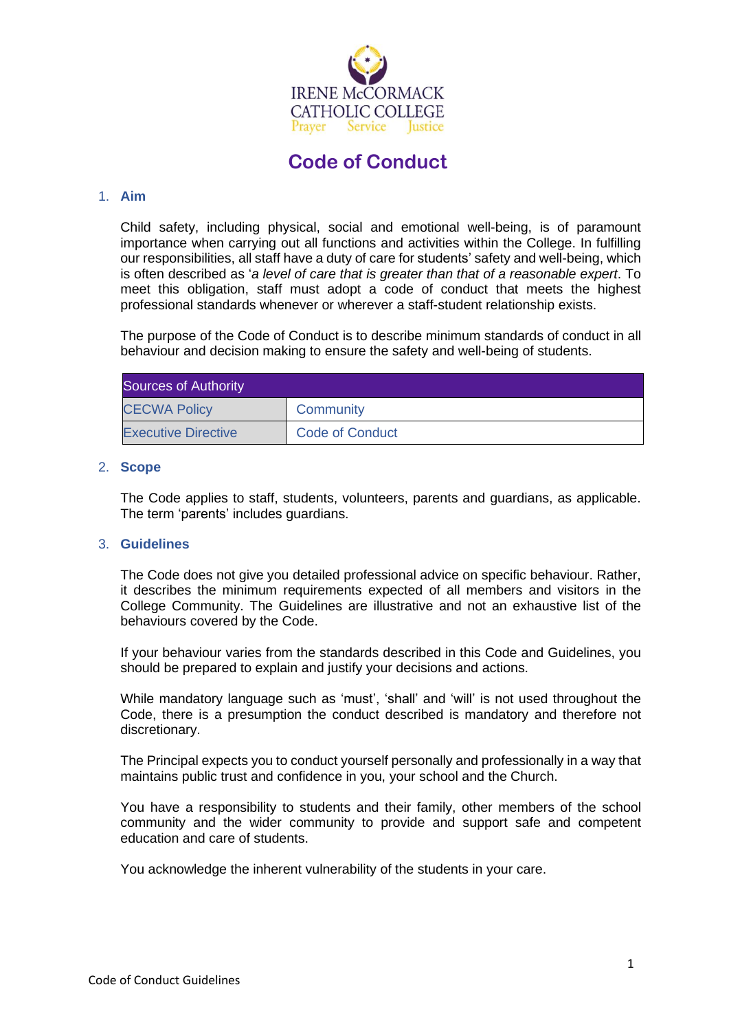

# **Code of Conduct**

#### 1. **Aim**

Child safety, including physical, social and emotional well-being, is of paramount importance when carrying out all functions and activities within the College. In fulfilling our responsibilities, all staff have a duty of care for students' safety and well-being, which is often described as '*a level of care that is greater than that of a reasonable expert*. To meet this obligation, staff must adopt a code of conduct that meets the highest professional standards whenever or wherever a staff-student relationship exists.

The purpose of the Code of Conduct is to describe minimum standards of conduct in all behaviour and decision making to ensure the safety and well-being of students.

| Sources of Authority       |                        |  |
|----------------------------|------------------------|--|
| <b>CECWA Policy</b>        | Community              |  |
| <b>Executive Directive</b> | <b>Code of Conduct</b> |  |

#### 2. **Scope**

The Code applies to staff, students, volunteers, parents and guardians, as applicable. The term 'parents' includes guardians.

#### 3. **Guidelines**

The Code does not give you detailed professional advice on specific behaviour. Rather, it describes the minimum requirements expected of all members and visitors in the College Community. The Guidelines are illustrative and not an exhaustive list of the behaviours covered by the Code.

If your behaviour varies from the standards described in this Code and Guidelines, you should be prepared to explain and justify your decisions and actions.

While mandatory language such as 'must', 'shall' and 'will' is not used throughout the Code, there is a presumption the conduct described is mandatory and therefore not discretionary.

The Principal expects you to conduct yourself personally and professionally in a way that maintains public trust and confidence in you, your school and the Church.

You have a responsibility to students and their family, other members of the school community and the wider community to provide and support safe and competent education and care of students.

You acknowledge the inherent vulnerability of the students in your care.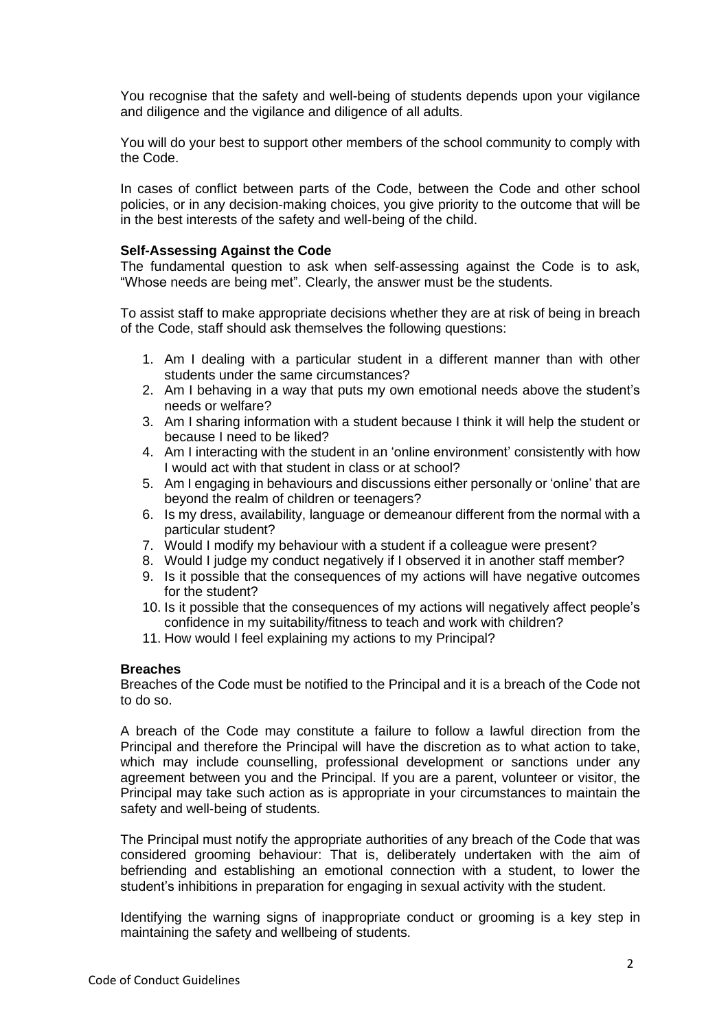You recognise that the safety and well-being of students depends upon your vigilance and diligence and the vigilance and diligence of all adults.

You will do your best to support other members of the school community to comply with the Code.

In cases of conflict between parts of the Code, between the Code and other school policies, or in any decision-making choices, you give priority to the outcome that will be in the best interests of the safety and well-being of the child.

#### **Self-Assessing Against the Code**

The fundamental question to ask when self-assessing against the Code is to ask, "Whose needs are being met". Clearly, the answer must be the students.

To assist staff to make appropriate decisions whether they are at risk of being in breach of the Code, staff should ask themselves the following questions:

- 1. Am I dealing with a particular student in a different manner than with other students under the same circumstances?
- 2. Am I behaving in a way that puts my own emotional needs above the student's needs or welfare?
- 3. Am I sharing information with a student because I think it will help the student or because I need to be liked?
- 4. Am I interacting with the student in an 'online environment' consistently with how I would act with that student in class or at school?
- 5. Am I engaging in behaviours and discussions either personally or 'online' that are beyond the realm of children or teenagers?
- 6. Is my dress, availability, language or demeanour different from the normal with a particular student?
- 7. Would I modify my behaviour with a student if a colleague were present?
- 8. Would I judge my conduct negatively if I observed it in another staff member?
- 9. Is it possible that the consequences of my actions will have negative outcomes for the student?
- 10. Is it possible that the consequences of my actions will negatively affect people's confidence in my suitability/fitness to teach and work with children?
- 11. How would I feel explaining my actions to my Principal?

#### **Breaches**

Breaches of the Code must be notified to the Principal and it is a breach of the Code not to do so.

A breach of the Code may constitute a failure to follow a lawful direction from the Principal and therefore the Principal will have the discretion as to what action to take, which may include counselling, professional development or sanctions under any agreement between you and the Principal. If you are a parent, volunteer or visitor, the Principal may take such action as is appropriate in your circumstances to maintain the safety and well-being of students.

The Principal must notify the appropriate authorities of any breach of the Code that was considered grooming behaviour: That is, deliberately undertaken with the aim of befriending and establishing an emotional connection with a student, to lower the student's inhibitions in preparation for engaging in sexual activity with the student.

Identifying the warning signs of inappropriate conduct or grooming is a key step in maintaining the safety and wellbeing of students.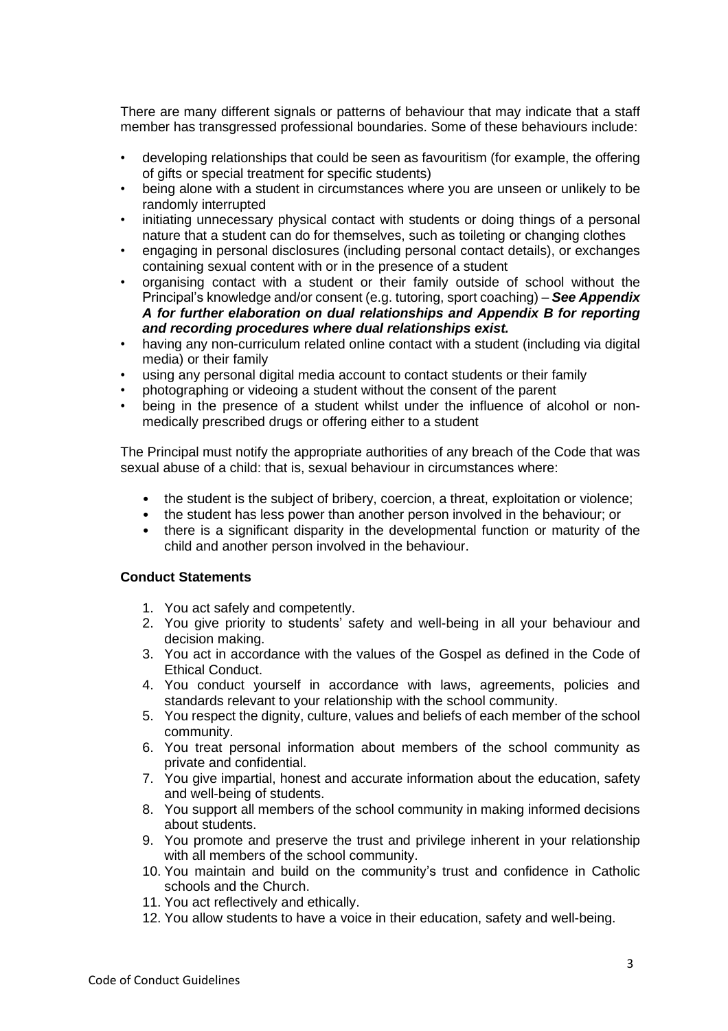There are many different signals or patterns of behaviour that may indicate that a staff member has transgressed professional boundaries. Some of these behaviours include:

- developing relationships that could be seen as favouritism (for example, the offering of gifts or special treatment for specific students)
- being alone with a student in circumstances where you are unseen or unlikely to be randomly interrupted
- initiating unnecessary physical contact with students or doing things of a personal nature that a student can do for themselves, such as toileting or changing clothes
- engaging in personal disclosures (including personal contact details), or exchanges containing sexual content with or in the presence of a student
- organising contact with a student or their family outside of school without the Principal's knowledge and/or consent (e.g. tutoring, sport coaching) – *See Appendix A for further elaboration on dual relationships and Appendix B for reporting and recording procedures where dual relationships exist.*
- having any non-curriculum related online contact with a student (including via digital media) or their family
- using any personal digital media account to contact students or their family
- photographing or videoing a student without the consent of the parent
- being in the presence of a student whilst under the influence of alcohol or nonmedically prescribed drugs or offering either to a student

The Principal must notify the appropriate authorities of any breach of the Code that was sexual abuse of a child: that is, sexual behaviour in circumstances where:

- the student is the subject of bribery, coercion, a threat, exploitation or violence;
- the student has less power than another person involved in the behaviour; or
- there is a significant disparity in the developmental function or maturity of the child and another person involved in the behaviour.

#### **Conduct Statements**

- 1. You act safely and competently.
- 2. You give priority to students' safety and well-being in all your behaviour and decision making.
- 3. You act in accordance with the values of the Gospel as defined in the Code of Ethical Conduct.
- 4. You conduct yourself in accordance with laws, agreements, policies and standards relevant to your relationship with the school community.
- 5. You respect the dignity, culture, values and beliefs of each member of the school community.
- 6. You treat personal information about members of the school community as private and confidential.
- 7. You give impartial, honest and accurate information about the education, safety and well-being of students.
- 8. You support all members of the school community in making informed decisions about students.
- 9. You promote and preserve the trust and privilege inherent in your relationship with all members of the school community.
- 10. You maintain and build on the community's trust and confidence in Catholic schools and the Church.
- 11. You act reflectively and ethically.
- 12. You allow students to have a voice in their education, safety and well-being.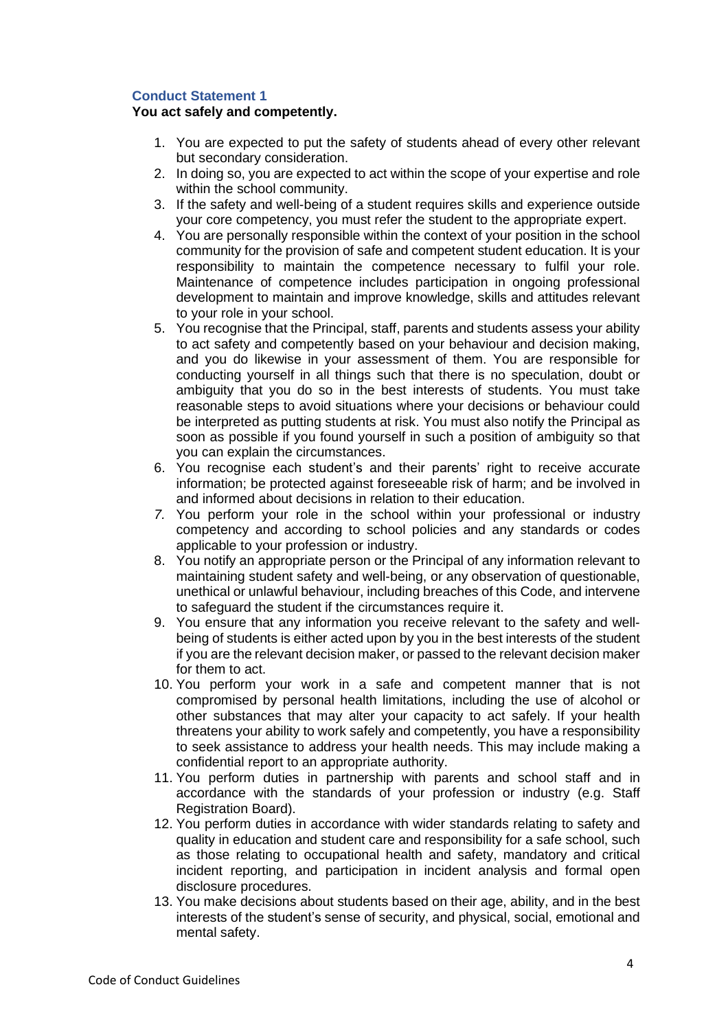### **Conduct Statement 1**

#### **You act safely and competently.**

- 1. You are expected to put the safety of students ahead of every other relevant but secondary consideration.
- 2. In doing so, you are expected to act within the scope of your expertise and role within the school community.
- 3. If the safety and well-being of a student requires skills and experience outside your core competency, you must refer the student to the appropriate expert.
- 4. You are personally responsible within the context of your position in the school community for the provision of safe and competent student education. It is your responsibility to maintain the competence necessary to fulfil your role. Maintenance of competence includes participation in ongoing professional development to maintain and improve knowledge, skills and attitudes relevant to your role in your school.
- 5. You recognise that the Principal, staff, parents and students assess your ability to act safety and competently based on your behaviour and decision making, and you do likewise in your assessment of them. You are responsible for conducting yourself in all things such that there is no speculation, doubt or ambiguity that you do so in the best interests of students. You must take reasonable steps to avoid situations where your decisions or behaviour could be interpreted as putting students at risk. You must also notify the Principal as soon as possible if you found yourself in such a position of ambiguity so that you can explain the circumstances.
- 6. You recognise each student's and their parents' right to receive accurate information; be protected against foreseeable risk of harm; and be involved in and informed about decisions in relation to their education.
- *7.* You perform your role in the school within your professional or industry competency and according to school policies and any standards or codes applicable to your profession or industry.
- 8. You notify an appropriate person or the Principal of any information relevant to maintaining student safety and well-being, or any observation of questionable, unethical or unlawful behaviour, including breaches of this Code, and intervene to safeguard the student if the circumstances require it.
- 9. You ensure that any information you receive relevant to the safety and wellbeing of students is either acted upon by you in the best interests of the student if you are the relevant decision maker, or passed to the relevant decision maker for them to act.
- 10. You perform your work in a safe and competent manner that is not compromised by personal health limitations, including the use of alcohol or other substances that may alter your capacity to act safely. If your health threatens your ability to work safely and competently, you have a responsibility to seek assistance to address your health needs. This may include making a confidential report to an appropriate authority.
- 11. You perform duties in partnership with parents and school staff and in accordance with the standards of your profession or industry (e.g. Staff Registration Board).
- 12. You perform duties in accordance with wider standards relating to safety and quality in education and student care and responsibility for a safe school, such as those relating to occupational health and safety, mandatory and critical incident reporting, and participation in incident analysis and formal open disclosure procedures.
- 13. You make decisions about students based on their age, ability, and in the best interests of the student's sense of security, and physical, social, emotional and mental safety.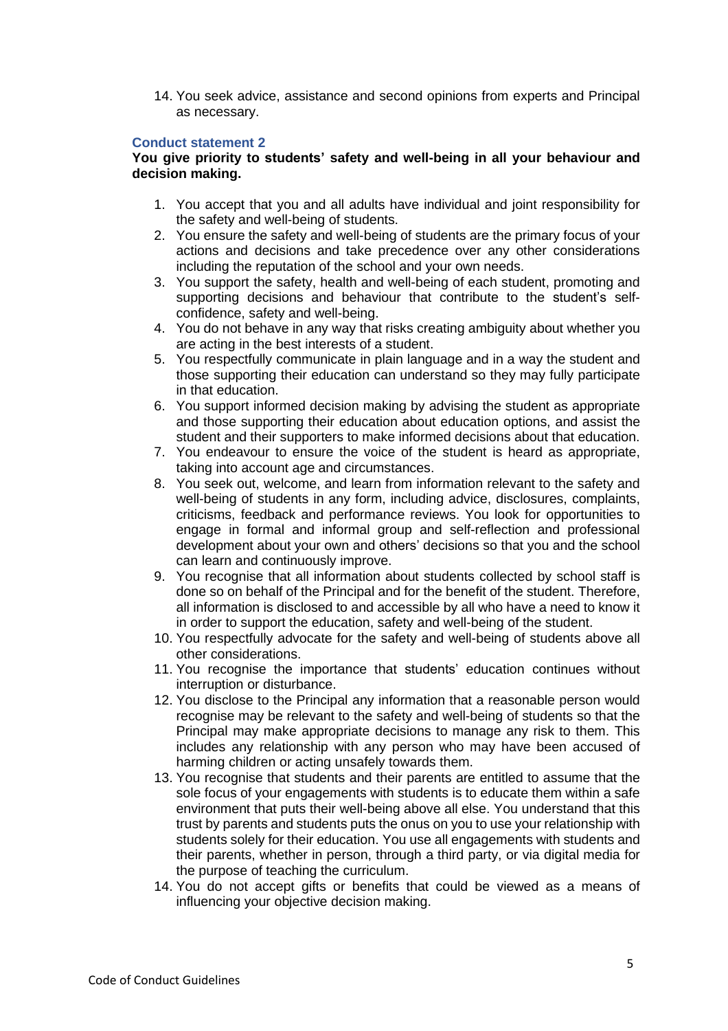14. You seek advice, assistance and second opinions from experts and Principal as necessary.

#### **Conduct statement 2**

#### **You give priority to students' safety and well-being in all your behaviour and decision making.**

- 1. You accept that you and all adults have individual and joint responsibility for the safety and well-being of students.
- 2. You ensure the safety and well-being of students are the primary focus of your actions and decisions and take precedence over any other considerations including the reputation of the school and your own needs.
- 3. You support the safety, health and well-being of each student, promoting and supporting decisions and behaviour that contribute to the student's selfconfidence, safety and well-being.
- 4. You do not behave in any way that risks creating ambiguity about whether you are acting in the best interests of a student.
- 5. You respectfully communicate in plain language and in a way the student and those supporting their education can understand so they may fully participate in that education.
- 6. You support informed decision making by advising the student as appropriate and those supporting their education about education options, and assist the student and their supporters to make informed decisions about that education.
- 7. You endeavour to ensure the voice of the student is heard as appropriate, taking into account age and circumstances.
- 8. You seek out, welcome, and learn from information relevant to the safety and well-being of students in any form, including advice, disclosures, complaints, criticisms, feedback and performance reviews. You look for opportunities to engage in formal and informal group and self-reflection and professional development about your own and others' decisions so that you and the school can learn and continuously improve.
- 9. You recognise that all information about students collected by school staff is done so on behalf of the Principal and for the benefit of the student. Therefore, all information is disclosed to and accessible by all who have a need to know it in order to support the education, safety and well-being of the student.
- 10. You respectfully advocate for the safety and well-being of students above all other considerations.
- 11. You recognise the importance that students' education continues without interruption or disturbance.
- 12. You disclose to the Principal any information that a reasonable person would recognise may be relevant to the safety and well-being of students so that the Principal may make appropriate decisions to manage any risk to them. This includes any relationship with any person who may have been accused of harming children or acting unsafely towards them.
- 13. You recognise that students and their parents are entitled to assume that the sole focus of your engagements with students is to educate them within a safe environment that puts their well-being above all else. You understand that this trust by parents and students puts the onus on you to use your relationship with students solely for their education. You use all engagements with students and their parents, whether in person, through a third party, or via digital media for the purpose of teaching the curriculum.
- 14. You do not accept gifts or benefits that could be viewed as a means of influencing your objective decision making.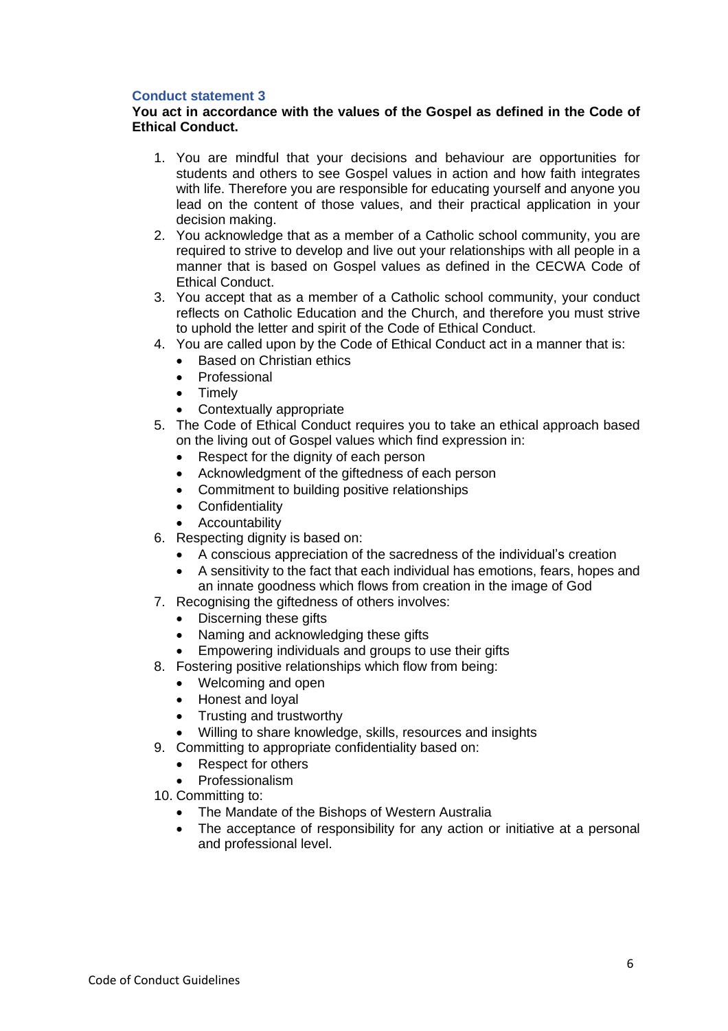### **Conduct statement 3**

### **You act in accordance with the values of the Gospel as defined in the Code of Ethical Conduct.**

- 1. You are mindful that your decisions and behaviour are opportunities for students and others to see Gospel values in action and how faith integrates with life. Therefore you are responsible for educating yourself and anyone you lead on the content of those values, and their practical application in your decision making.
- 2. You acknowledge that as a member of a Catholic school community, you are required to strive to develop and live out your relationships with all people in a manner that is based on Gospel values as defined in the CECWA Code of Ethical Conduct.
- 3. You accept that as a member of a Catholic school community, your conduct reflects on Catholic Education and the Church, and therefore you must strive to uphold the letter and spirit of the Code of Ethical Conduct.
- 4. You are called upon by the Code of Ethical Conduct act in a manner that is:
	- Based on Christian ethics
	- Professional
	- Timely
	- Contextually appropriate
- 5. The Code of Ethical Conduct requires you to take an ethical approach based on the living out of Gospel values which find expression in:
	- Respect for the dignity of each person
	- Acknowledgment of the giftedness of each person
	- Commitment to building positive relationships
	- Confidentiality
	- Accountability
- 6. Respecting dignity is based on:
	- A conscious appreciation of the sacredness of the individual's creation
	- A sensitivity to the fact that each individual has emotions, fears, hopes and an innate goodness which flows from creation in the image of God
- 7. Recognising the giftedness of others involves:
	- Discerning these gifts
	- Naming and acknowledging these gifts
	- Empowering individuals and groups to use their gifts
- 8. Fostering positive relationships which flow from being:
	- Welcoming and open
	- Honest and loyal
	- Trusting and trustworthy
	- Willing to share knowledge, skills, resources and insights
- 9. Committing to appropriate confidentiality based on:
	- Respect for others
	- Professionalism
- 10. Committing to:
	- The Mandate of the Bishops of Western Australia
	- The acceptance of responsibility for any action or initiative at a personal and professional level.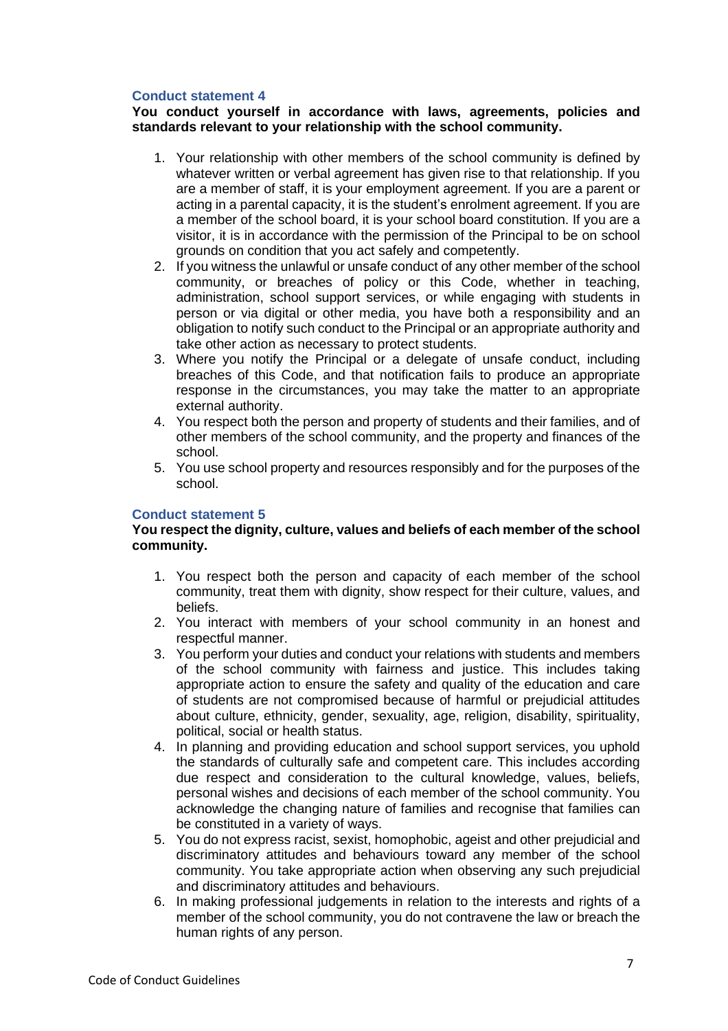#### **Conduct statement 4**

### **You conduct yourself in accordance with laws, agreements, policies and standards relevant to your relationship with the school community.**

- 1. Your relationship with other members of the school community is defined by whatever written or verbal agreement has given rise to that relationship. If you are a member of staff, it is your employment agreement. If you are a parent or acting in a parental capacity, it is the student's enrolment agreement. If you are a member of the school board, it is your school board constitution. If you are a visitor, it is in accordance with the permission of the Principal to be on school grounds on condition that you act safely and competently.
- 2. If you witness the unlawful or unsafe conduct of any other member of the school community, or breaches of policy or this Code, whether in teaching, administration, school support services, or while engaging with students in person or via digital or other media, you have both a responsibility and an obligation to notify such conduct to the Principal or an appropriate authority and take other action as necessary to protect students.
- 3. Where you notify the Principal or a delegate of unsafe conduct, including breaches of this Code, and that notification fails to produce an appropriate response in the circumstances, you may take the matter to an appropriate external authority.
- 4. You respect both the person and property of students and their families, and of other members of the school community, and the property and finances of the school.
- 5. You use school property and resources responsibly and for the purposes of the school.

### **Conduct statement 5**

#### **You respect the dignity, culture, values and beliefs of each member of the school community.**

- 1. You respect both the person and capacity of each member of the school community, treat them with dignity, show respect for their culture, values, and beliefs.
- 2. You interact with members of your school community in an honest and respectful manner.
- 3. You perform your duties and conduct your relations with students and members of the school community with fairness and justice. This includes taking appropriate action to ensure the safety and quality of the education and care of students are not compromised because of harmful or prejudicial attitudes about culture, ethnicity, gender, sexuality, age, religion, disability, spirituality, political, social or health status.
- 4. In planning and providing education and school support services, you uphold the standards of culturally safe and competent care. This includes according due respect and consideration to the cultural knowledge, values, beliefs, personal wishes and decisions of each member of the school community. You acknowledge the changing nature of families and recognise that families can be constituted in a variety of ways.
- 5. You do not express racist, sexist, homophobic, ageist and other prejudicial and discriminatory attitudes and behaviours toward any member of the school community. You take appropriate action when observing any such prejudicial and discriminatory attitudes and behaviours.
- 6. In making professional judgements in relation to the interests and rights of a member of the school community, you do not contravene the law or breach the human rights of any person.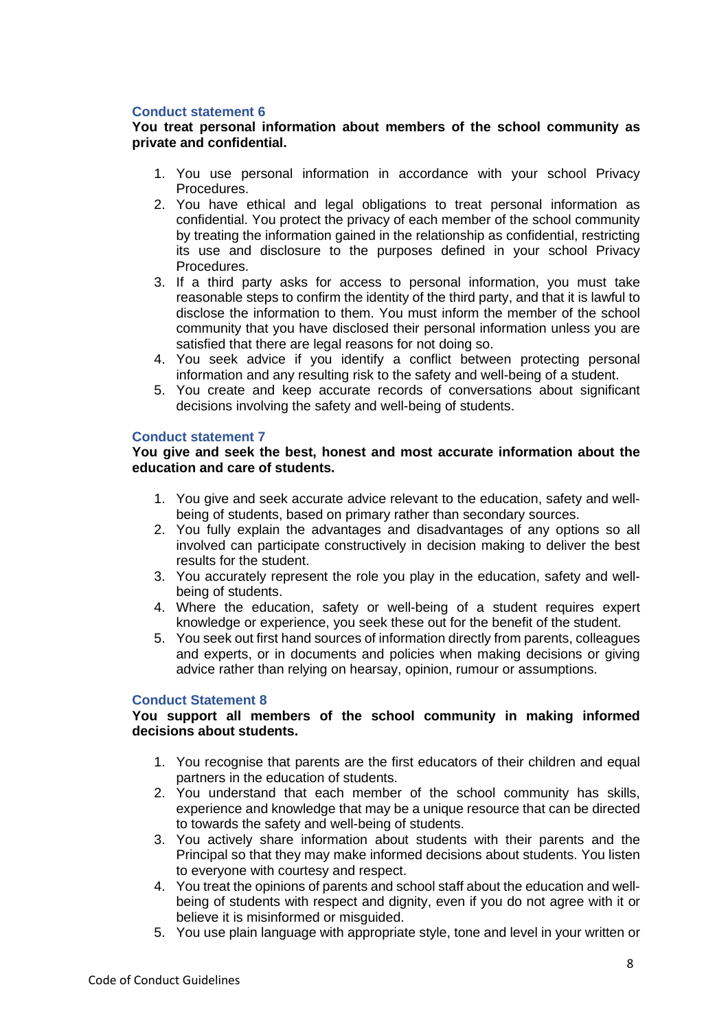### **Conduct statement 6**

#### **You treat personal information about members of the school community as private and confidential.**

- 1. You use personal information in accordance with your school Privacy Procedures.
- 2. You have ethical and legal obligations to treat personal information as confidential. You protect the privacy of each member of the school community by treating the information gained in the relationship as confidential, restricting its use and disclosure to the purposes defined in your school Privacy Procedures.
- 3. If a third party asks for access to personal information, you must take reasonable steps to confirm the identity of the third party, and that it is lawful to disclose the information to them. You must inform the member of the school community that you have disclosed their personal information unless you are satisfied that there are legal reasons for not doing so.
- 4. You seek advice if you identify a conflict between protecting personal information and any resulting risk to the safety and well-being of a student.
- 5. You create and keep accurate records of conversations about significant decisions involving the safety and well-being of students.

#### **Conduct statement 7**

#### **You give and seek the best, honest and most accurate information about the education and care of students.**

- 1. You give and seek accurate advice relevant to the education, safety and wellbeing of students, based on primary rather than secondary sources.
- 2. You fully explain the advantages and disadvantages of any options so all involved can participate constructively in decision making to deliver the best results for the student.
- 3. You accurately represent the role you play in the education, safety and wellbeing of students.
- 4. Where the education, safety or well-being of a student requires expert knowledge or experience, you seek these out for the benefit of the student.
- 5. You seek out first hand sources of information directly from parents, colleagues and experts, or in documents and policies when making decisions or giving advice rather than relying on hearsay, opinion, rumour or assumptions.

#### **Conduct Statement 8**

#### **You support all members of the school community in making informed decisions about students.**

- 1. You recognise that parents are the first educators of their children and equal partners in the education of students.
- 2. You understand that each member of the school community has skills, experience and knowledge that may be a unique resource that can be directed to towards the safety and well-being of students.
- 3. You actively share information about students with their parents and the Principal so that they may make informed decisions about students. You listen to everyone with courtesy and respect.
- 4. You treat the opinions of parents and school staff about the education and wellbeing of students with respect and dignity, even if you do not agree with it or believe it is misinformed or misguided.
- 5. You use plain language with appropriate style, tone and level in your written or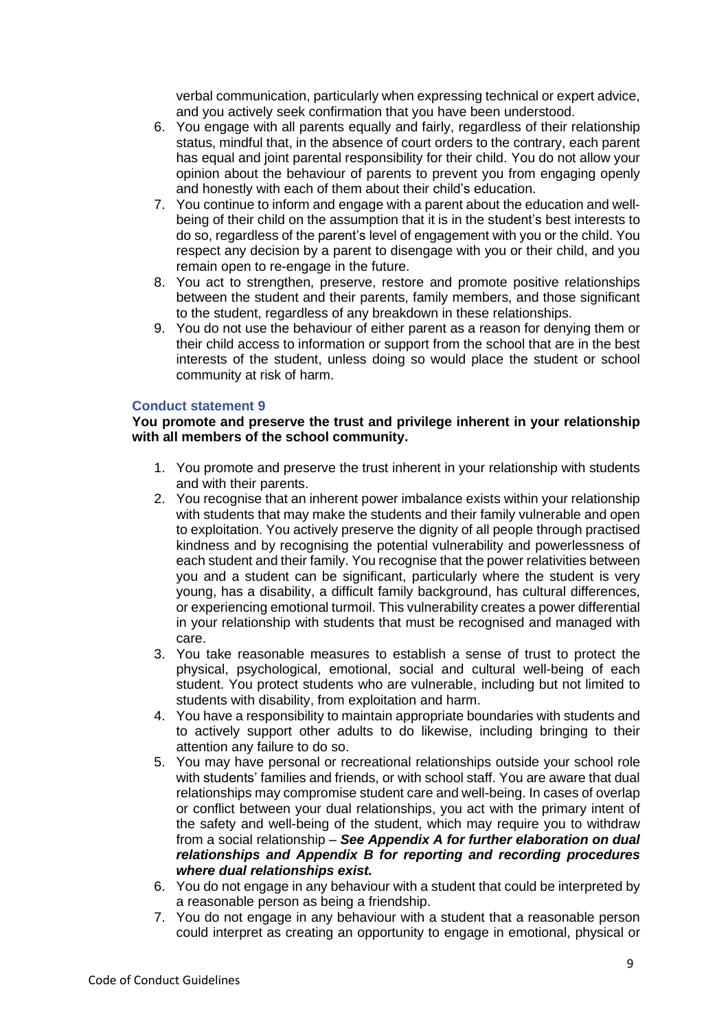verbal communication, particularly when expressing technical or expert advice, and you actively seek confirmation that you have been understood.

- 6. You engage with all parents equally and fairly, regardless of their relationship status, mindful that, in the absence of court orders to the contrary, each parent has equal and joint parental responsibility for their child. You do not allow your opinion about the behaviour of parents to prevent you from engaging openly and honestly with each of them about their child's education.
- 7. You continue to inform and engage with a parent about the education and wellbeing of their child on the assumption that it is in the student's best interests to do so, regardless of the parent's level of engagement with you or the child. You respect any decision by a parent to disengage with you or their child, and you remain open to re-engage in the future.
- 8. You act to strengthen, preserve, restore and promote positive relationships between the student and their parents, family members, and those significant to the student, regardless of any breakdown in these relationships.
- 9. You do not use the behaviour of either parent as a reason for denying them or their child access to information or support from the school that are in the best interests of the student, unless doing so would place the student or school community at risk of harm.

#### **Conduct statement 9**

**You promote and preserve the trust and privilege inherent in your relationship with all members of the school community.**

- 1. You promote and preserve the trust inherent in your relationship with students and with their parents.
- 2. You recognise that an inherent power imbalance exists within your relationship with students that may make the students and their family vulnerable and open to exploitation. You actively preserve the dignity of all people through practised kindness and by recognising the potential vulnerability and powerlessness of each student and their family. You recognise that the power relativities between you and a student can be significant, particularly where the student is very young, has a disability, a difficult family background, has cultural differences, or experiencing emotional turmoil. This vulnerability creates a power differential in your relationship with students that must be recognised and managed with care.
- 3. You take reasonable measures to establish a sense of trust to protect the physical, psychological, emotional, social and cultural well-being of each student. You protect students who are vulnerable, including but not limited to students with disability, from exploitation and harm.
- 4. You have a responsibility to maintain appropriate boundaries with students and to actively support other adults to do likewise, including bringing to their attention any failure to do so.
- 5. You may have personal or recreational relationships outside your school role with students' families and friends, or with school staff. You are aware that dual relationships may compromise student care and well-being. In cases of overlap or conflict between your dual relationships, you act with the primary intent of the safety and well-being of the student, which may require you to withdraw from a social relationship – *See Appendix A for further elaboration on dual relationships and Appendix B for reporting and recording procedures where dual relationships exist.*
- 6. You do not engage in any behaviour with a student that could be interpreted by a reasonable person as being a friendship.
- 7. You do not engage in any behaviour with a student that a reasonable person could interpret as creating an opportunity to engage in emotional, physical or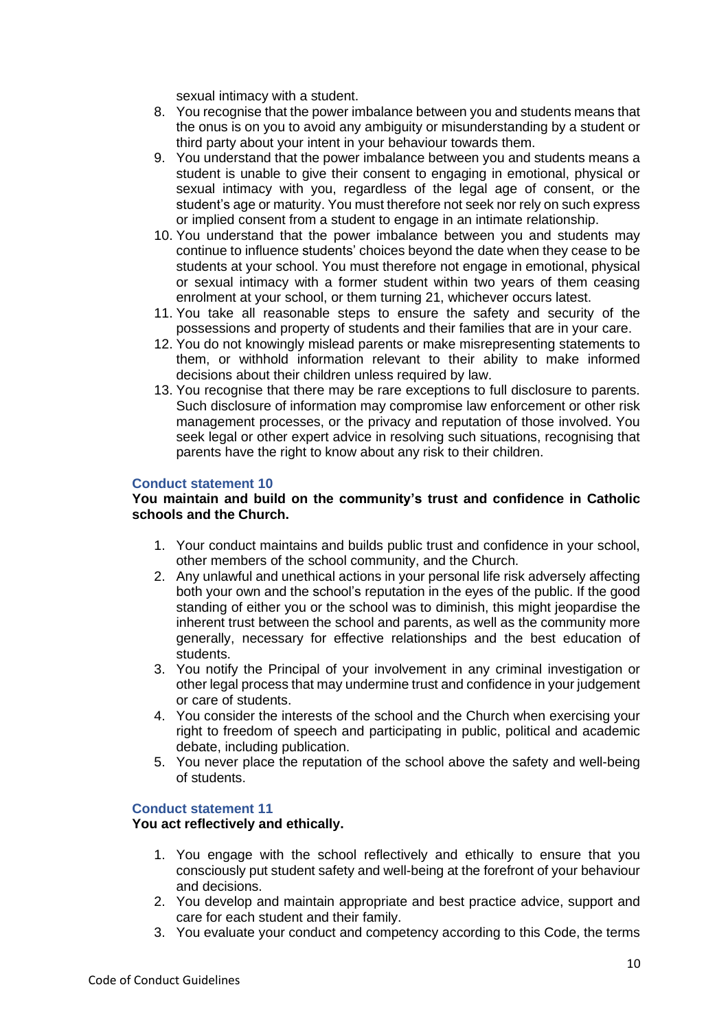sexual intimacy with a student.

- 8. You recognise that the power imbalance between you and students means that the onus is on you to avoid any ambiguity or misunderstanding by a student or third party about your intent in your behaviour towards them.
- 9. You understand that the power imbalance between you and students means a student is unable to give their consent to engaging in emotional, physical or sexual intimacy with you, regardless of the legal age of consent, or the student's age or maturity. You must therefore not seek nor rely on such express or implied consent from a student to engage in an intimate relationship.
- 10. You understand that the power imbalance between you and students may continue to influence students' choices beyond the date when they cease to be students at your school. You must therefore not engage in emotional, physical or sexual intimacy with a former student within two years of them ceasing enrolment at your school, or them turning 21, whichever occurs latest.
- 11. You take all reasonable steps to ensure the safety and security of the possessions and property of students and their families that are in your care.
- 12. You do not knowingly mislead parents or make misrepresenting statements to them, or withhold information relevant to their ability to make informed decisions about their children unless required by law.
- 13. You recognise that there may be rare exceptions to full disclosure to parents. Such disclosure of information may compromise law enforcement or other risk management processes, or the privacy and reputation of those involved. You seek legal or other expert advice in resolving such situations, recognising that parents have the right to know about any risk to their children.

#### **Conduct statement 10**

#### **You maintain and build on the community's trust and confidence in Catholic schools and the Church.**

- 1. Your conduct maintains and builds public trust and confidence in your school, other members of the school community, and the Church.
- 2. Any unlawful and unethical actions in your personal life risk adversely affecting both your own and the school's reputation in the eyes of the public. If the good standing of either you or the school was to diminish, this might jeopardise the inherent trust between the school and parents, as well as the community more generally, necessary for effective relationships and the best education of students.
- 3. You notify the Principal of your involvement in any criminal investigation or other legal process that may undermine trust and confidence in your judgement or care of students.
- 4. You consider the interests of the school and the Church when exercising your right to freedom of speech and participating in public, political and academic debate, including publication.
- 5. You never place the reputation of the school above the safety and well-being of students.

#### **Conduct statement 11**

#### **You act reflectively and ethically.**

- 1. You engage with the school reflectively and ethically to ensure that you consciously put student safety and well-being at the forefront of your behaviour and decisions.
- 2. You develop and maintain appropriate and best practice advice, support and care for each student and their family.
- 3. You evaluate your conduct and competency according to this Code, the terms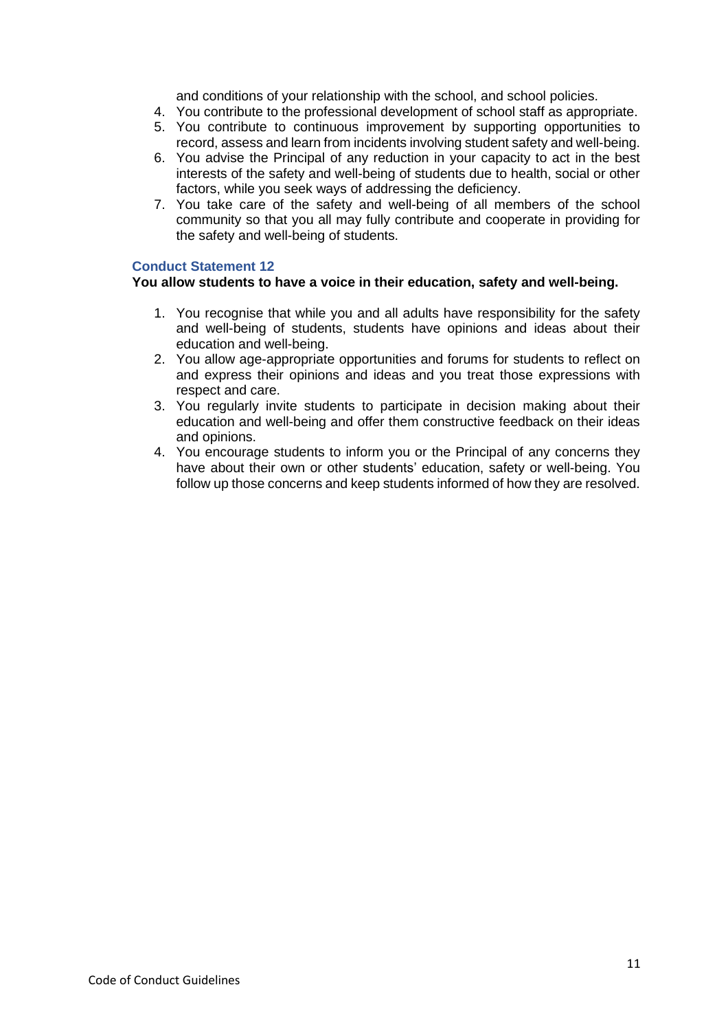and conditions of your relationship with the school, and school policies.

- 4. You contribute to the professional development of school staff as appropriate.
- 5. You contribute to continuous improvement by supporting opportunities to record, assess and learn from incidents involving student safety and well-being.
- 6. You advise the Principal of any reduction in your capacity to act in the best interests of the safety and well-being of students due to health, social or other factors, while you seek ways of addressing the deficiency.
- 7. You take care of the safety and well-being of all members of the school community so that you all may fully contribute and cooperate in providing for the safety and well-being of students.

#### **Conduct Statement 12**

#### **You allow students to have a voice in their education, safety and well-being.**

- 1. You recognise that while you and all adults have responsibility for the safety and well-being of students, students have opinions and ideas about their education and well-being.
- 2. You allow age-appropriate opportunities and forums for students to reflect on and express their opinions and ideas and you treat those expressions with respect and care.
- 3. You regularly invite students to participate in decision making about their education and well-being and offer them constructive feedback on their ideas and opinions.
- 4. You encourage students to inform you or the Principal of any concerns they have about their own or other students' education, safety or well-being. You follow up those concerns and keep students informed of how they are resolved.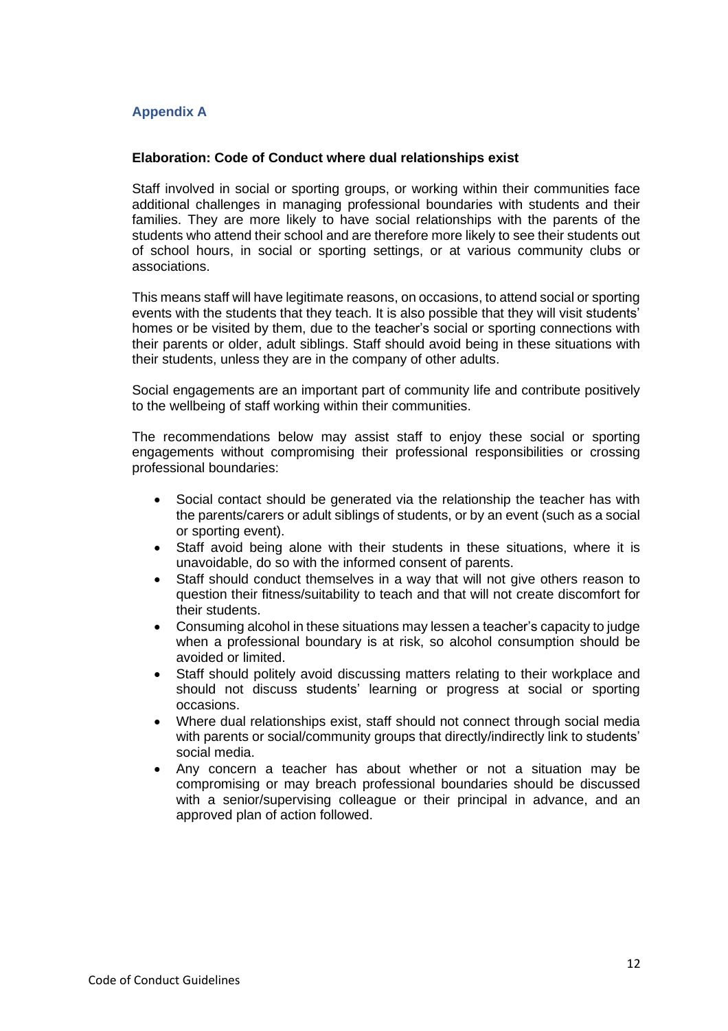## **Appendix A**

#### **Elaboration: Code of Conduct where dual relationships exist**

Staff involved in social or sporting groups, or working within their communities face additional challenges in managing professional boundaries with students and their families. They are more likely to have social relationships with the parents of the students who attend their school and are therefore more likely to see their students out of school hours, in social or sporting settings, or at various community clubs or associations.

This means staff will have legitimate reasons, on occasions, to attend social or sporting events with the students that they teach. It is also possible that they will visit students' homes or be visited by them, due to the teacher's social or sporting connections with their parents or older, adult siblings. Staff should avoid being in these situations with their students, unless they are in the company of other adults.

Social engagements are an important part of community life and contribute positively to the wellbeing of staff working within their communities.

The recommendations below may assist staff to enjoy these social or sporting engagements without compromising their professional responsibilities or crossing professional boundaries:

- Social contact should be generated via the relationship the teacher has with the parents/carers or adult siblings of students, or by an event (such as a social or sporting event).
- Staff avoid being alone with their students in these situations, where it is unavoidable, do so with the informed consent of parents.
- Staff should conduct themselves in a way that will not give others reason to question their fitness/suitability to teach and that will not create discomfort for their students.
- Consuming alcohol in these situations may lessen a teacher's capacity to judge when a professional boundary is at risk, so alcohol consumption should be avoided or limited.
- Staff should politely avoid discussing matters relating to their workplace and should not discuss students' learning or progress at social or sporting occasions.
- Where dual relationships exist, staff should not connect through social media with parents or social/community groups that directly/indirectly link to students' social media.
- Any concern a teacher has about whether or not a situation may be compromising or may breach professional boundaries should be discussed with a senior/supervising colleague or their principal in advance, and an approved plan of action followed.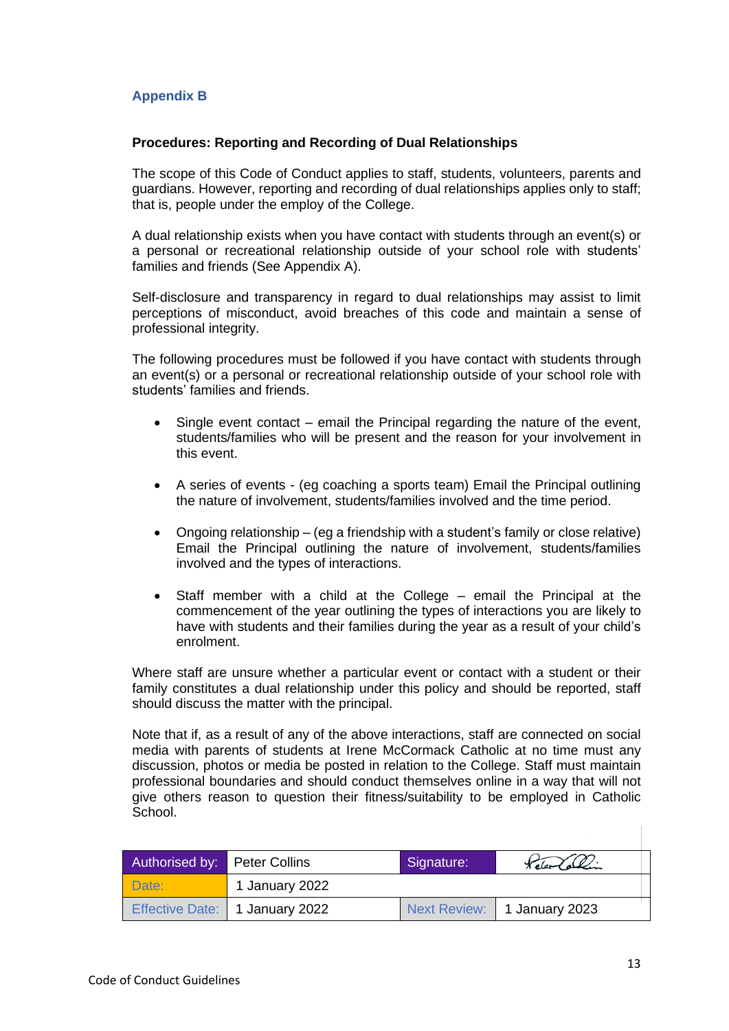## **Appendix B**

#### **Procedures: Reporting and Recording of Dual Relationships**

The scope of this Code of Conduct applies to staff, students, volunteers, parents and guardians. However, reporting and recording of dual relationships applies only to staff; that is, people under the employ of the College.

A dual relationship exists when you have contact with students through an event(s) or a personal or recreational relationship outside of your school role with students' families and friends (See Appendix A).

Self-disclosure and transparency in regard to dual relationships may assist to limit perceptions of misconduct, avoid breaches of this code and maintain a sense of professional integrity.

The following procedures must be followed if you have contact with students through an event(s) or a personal or recreational relationship outside of your school role with students' families and friends.

- Single event contact email the Principal regarding the nature of the event, students/families who will be present and the reason for your involvement in this event.
- A series of events (eg coaching a sports team) Email the Principal outlining the nature of involvement, students/families involved and the time period.
- Ongoing relationship (eg a friendship with a student's family or close relative) Email the Principal outlining the nature of involvement, students/families involved and the types of interactions.
- Staff member with a child at the College email the Principal at the commencement of the year outlining the types of interactions you are likely to have with students and their families during the year as a result of your child's enrolment.

Where staff are unsure whether a particular event or contact with a student or their family constitutes a dual relationship under this policy and should be reported, staff should discuss the matter with the principal.

Note that if, as a result of any of the above interactions, staff are connected on social media with parents of students at Irene McCormack Catholic at no time must any discussion, photos or media be posted in relation to the College. Staff must maintain professional boundaries and should conduct themselves online in a way that will not give others reason to question their fitness/suitability to be employed in Catholic School.

| Authorised by: Peter Collins |                                | Signature: | Released Collins            |  |
|------------------------------|--------------------------------|------------|-----------------------------|--|
| Date:                        | 1 January 2022                 |            |                             |  |
|                              | Effective Date: 1 January 2022 |            | Next Review: 1 January 2023 |  |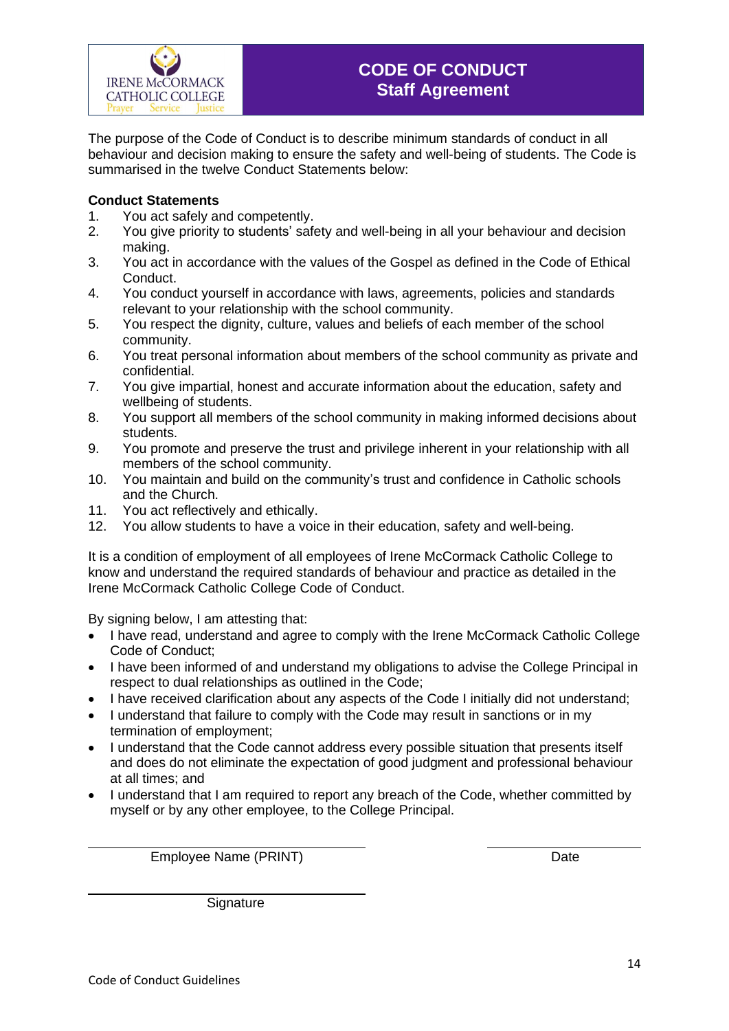The purpose of the Code of Conduct is to describe minimum standards of conduct in all behaviour and decision making to ensure the safety and well-being of students. The Code is summarised in the twelve Conduct Statements below:

## **Conduct Statements**

- 1. You act safely and competently.<br>2. You give priority to students' safe
- You give priority to students' safety and well-being in all your behaviour and decision making.
- 3. You act in accordance with the values of the Gospel as defined in the Code of Ethical Conduct.
- 4. You conduct yourself in accordance with laws, agreements, policies and standards relevant to your relationship with the school community.
- 5. You respect the dignity, culture, values and beliefs of each member of the school community.
- 6. You treat personal information about members of the school community as private and confidential.
- 7. You give impartial, honest and accurate information about the education, safety and wellbeing of students.
- 8. You support all members of the school community in making informed decisions about students.
- 9. You promote and preserve the trust and privilege inherent in your relationship with all members of the school community.
- 10. You maintain and build on the community's trust and confidence in Catholic schools and the Church.
- 11. You act reflectively and ethically.
- 12. You allow students to have a voice in their education, safety and well-being.

It is a condition of employment of all employees of Irene McCormack Catholic College to know and understand the required standards of behaviour and practice as detailed in the Irene McCormack Catholic College Code of Conduct.

By signing below, I am attesting that:

- I have read, understand and agree to comply with the Irene McCormack Catholic College Code of Conduct;
- I have been informed of and understand my obligations to advise the College Principal in respect to dual relationships as outlined in the Code;
- I have received clarification about any aspects of the Code I initially did not understand;
- I understand that failure to comply with the Code may result in sanctions or in my termination of employment;
- I understand that the Code cannot address every possible situation that presents itself and does do not eliminate the expectation of good judgment and professional behaviour at all times; and
- I understand that I am required to report any breach of the Code, whether committed by myself or by any other employee, to the College Principal.

Employee Name (PRINT) Date

**Signature**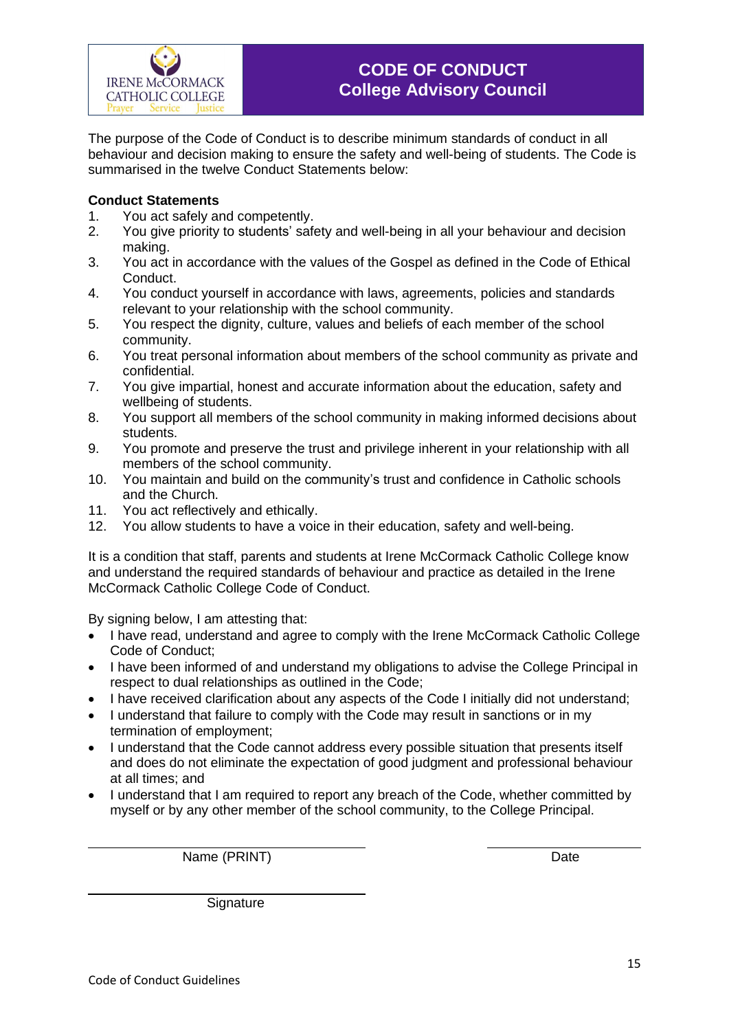The purpose of the Code of Conduct is to describe minimum standards of conduct in all behaviour and decision making to ensure the safety and well-being of students. The Code is summarised in the twelve Conduct Statements below:

## **Conduct Statements**

- 1. You act safely and competently.
- 2. You give priority to students' safety and well-being in all your behaviour and decision making.
- 3. You act in accordance with the values of the Gospel as defined in the Code of Ethical Conduct.
- 4. You conduct yourself in accordance with laws, agreements, policies and standards relevant to your relationship with the school community.
- 5. You respect the dignity, culture, values and beliefs of each member of the school community.
- 6. You treat personal information about members of the school community as private and confidential.
- 7. You give impartial, honest and accurate information about the education, safety and wellbeing of students.
- 8. You support all members of the school community in making informed decisions about students.
- 9. You promote and preserve the trust and privilege inherent in your relationship with all members of the school community.
- 10. You maintain and build on the community's trust and confidence in Catholic schools and the Church.
- 11. You act reflectively and ethically.
- 12. You allow students to have a voice in their education, safety and well-being.

It is a condition that staff, parents and students at Irene McCormack Catholic College know and understand the required standards of behaviour and practice as detailed in the Irene McCormack Catholic College Code of Conduct.

By signing below, I am attesting that:

- I have read, understand and agree to comply with the Irene McCormack Catholic College Code of Conduct;
- I have been informed of and understand my obligations to advise the College Principal in respect to dual relationships as outlined in the Code;
- I have received clarification about any aspects of the Code I initially did not understand;
- I understand that failure to comply with the Code may result in sanctions or in my termination of employment;
- I understand that the Code cannot address every possible situation that presents itself and does do not eliminate the expectation of good judgment and professional behaviour at all times; and
- I understand that I am required to report any breach of the Code, whether committed by myself or by any other member of the school community, to the College Principal.

Name (PRINT) Date

**Signature**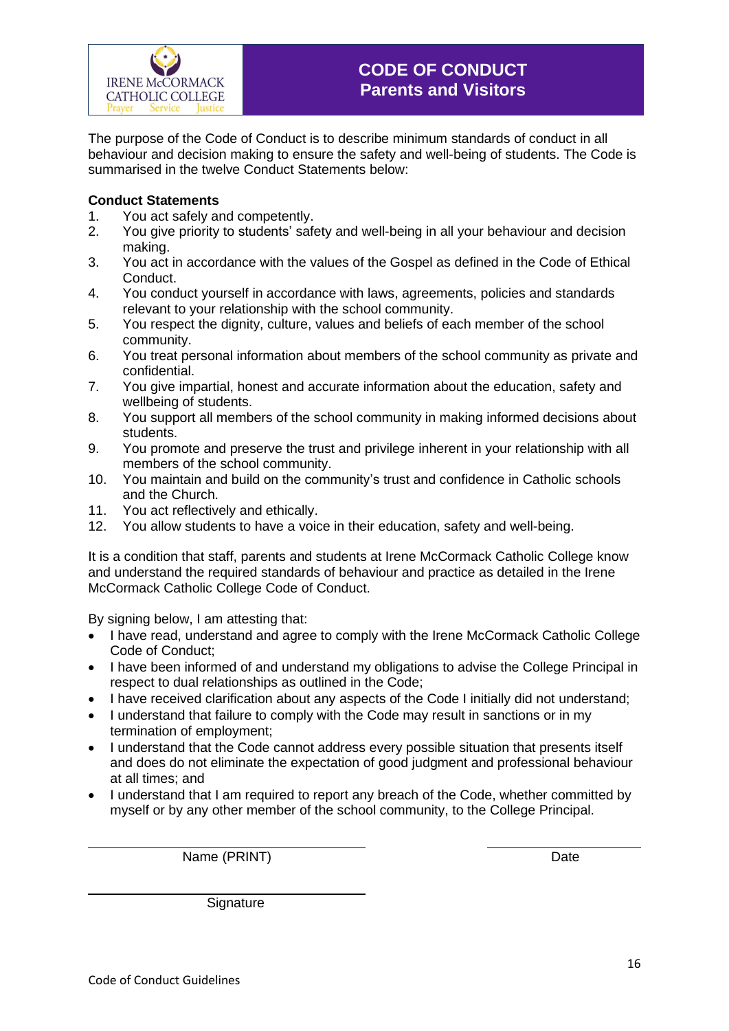The purpose of the Code of Conduct is to describe minimum standards of conduct in all behaviour and decision making to ensure the safety and well-being of students. The Code is summarised in the twelve Conduct Statements below:

## **Conduct Statements**

- 1. You act safely and competently.<br>2. You give priority to students' safe
- You give priority to students' safety and well-being in all your behaviour and decision making.
- 3. You act in accordance with the values of the Gospel as defined in the Code of Ethical Conduct.
- 4. You conduct yourself in accordance with laws, agreements, policies and standards relevant to your relationship with the school community.
- 5. You respect the dignity, culture, values and beliefs of each member of the school community.
- 6. You treat personal information about members of the school community as private and confidential.
- 7. You give impartial, honest and accurate information about the education, safety and wellbeing of students.
- 8. You support all members of the school community in making informed decisions about students.
- 9. You promote and preserve the trust and privilege inherent in your relationship with all members of the school community.
- 10. You maintain and build on the community's trust and confidence in Catholic schools and the Church.
- 11. You act reflectively and ethically.
- 12. You allow students to have a voice in their education, safety and well-being.

It is a condition that staff, parents and students at Irene McCormack Catholic College know and understand the required standards of behaviour and practice as detailed in the Irene McCormack Catholic College Code of Conduct.

By signing below, I am attesting that:

- I have read, understand and agree to comply with the Irene McCormack Catholic College Code of Conduct;
- I have been informed of and understand my obligations to advise the College Principal in respect to dual relationships as outlined in the Code;
- I have received clarification about any aspects of the Code I initially did not understand;
- I understand that failure to comply with the Code may result in sanctions or in my termination of employment;
- I understand that the Code cannot address every possible situation that presents itself and does do not eliminate the expectation of good judgment and professional behaviour at all times; and
- I understand that I am required to report any breach of the Code, whether committed by myself or by any other member of the school community, to the College Principal.

Name (PRINT) Date

**Signature**